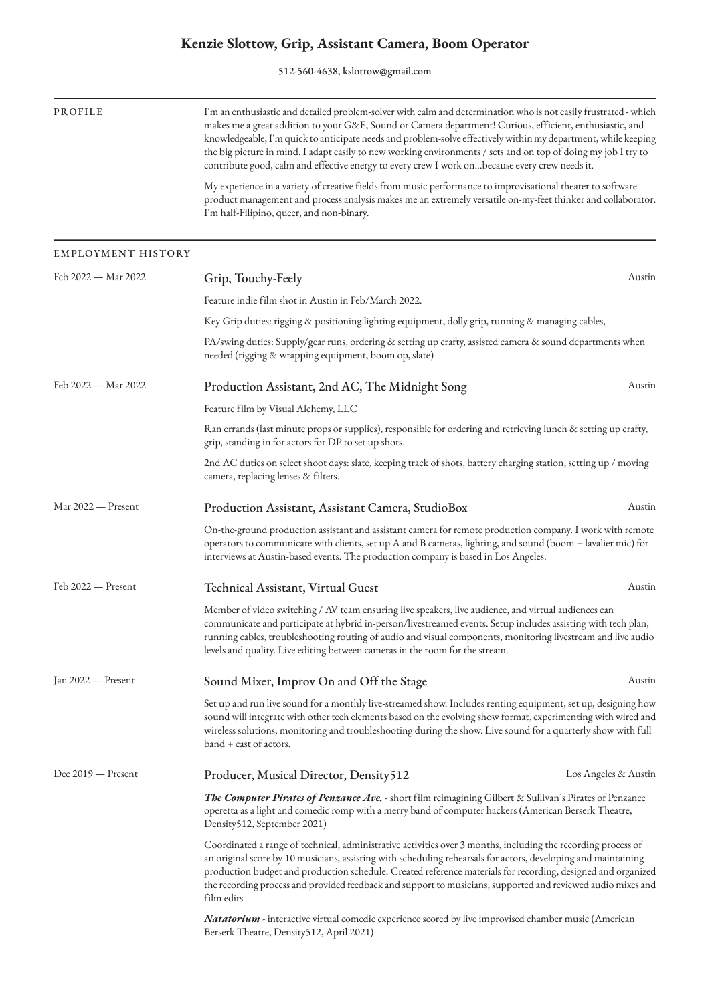## **Kenzie Slottow, Grip, Assistant Camera, Boom Operator**

512-560-4638, kslottow@gmail.com

| PROFILE                   | I'm an enthusiastic and detailed problem-solver with calm and determination who is not easily frustrated - which<br>makes me a great addition to your G&E, Sound or Camera department! Curious, efficient, enthusiastic, and<br>knowledgeable, I'm quick to anticipate needs and problem-solve effectively within my department, while keeping<br>the big picture in mind. I adapt easily to new working environments / sets and on top of doing my job I try to<br>contribute good, calm and effective energy to every crew I work onbecause every crew needs it.<br>My experience in a variety of creative fields from music performance to improvisational theater to software<br>product management and process analysis makes me an extremely versatile on-my-feet thinker and collaborator.<br>I'm half-Filipino, queer, and non-binary. |                      |  |
|---------------------------|------------------------------------------------------------------------------------------------------------------------------------------------------------------------------------------------------------------------------------------------------------------------------------------------------------------------------------------------------------------------------------------------------------------------------------------------------------------------------------------------------------------------------------------------------------------------------------------------------------------------------------------------------------------------------------------------------------------------------------------------------------------------------------------------------------------------------------------------|----------------------|--|
|                           |                                                                                                                                                                                                                                                                                                                                                                                                                                                                                                                                                                                                                                                                                                                                                                                                                                                |                      |  |
| <b>EMPLOYMENT HISTORY</b> |                                                                                                                                                                                                                                                                                                                                                                                                                                                                                                                                                                                                                                                                                                                                                                                                                                                |                      |  |
| Feb 2022 — Mar 2022       | Grip, Touchy-Feely                                                                                                                                                                                                                                                                                                                                                                                                                                                                                                                                                                                                                                                                                                                                                                                                                             | Austin               |  |
|                           | Feature indie film shot in Austin in Feb/March 2022.                                                                                                                                                                                                                                                                                                                                                                                                                                                                                                                                                                                                                                                                                                                                                                                           |                      |  |
|                           | Key Grip duties: rigging & positioning lighting equipment, dolly grip, running & managing cables,                                                                                                                                                                                                                                                                                                                                                                                                                                                                                                                                                                                                                                                                                                                                              |                      |  |
|                           | PA/swing duties: Supply/gear runs, ordering & setting up crafty, assisted camera & sound departments when<br>needed (rigging & wrapping equipment, boom op, slate)                                                                                                                                                                                                                                                                                                                                                                                                                                                                                                                                                                                                                                                                             |                      |  |
| Feb 2022 — Mar 2022       | Production Assistant, 2nd AC, The Midnight Song                                                                                                                                                                                                                                                                                                                                                                                                                                                                                                                                                                                                                                                                                                                                                                                                | Austin               |  |
|                           | Feature film by Visual Alchemy, LLC                                                                                                                                                                                                                                                                                                                                                                                                                                                                                                                                                                                                                                                                                                                                                                                                            |                      |  |
|                           | Ran errands (last minute props or supplies), responsible for ordering and retrieving lunch & setting up crafty,<br>grip, standing in for actors for DP to set up shots.                                                                                                                                                                                                                                                                                                                                                                                                                                                                                                                                                                                                                                                                        |                      |  |
|                           | 2nd AC duties on select shoot days: slate, keeping track of shots, battery charging station, setting up / moving<br>camera, replacing lenses & filters.                                                                                                                                                                                                                                                                                                                                                                                                                                                                                                                                                                                                                                                                                        |                      |  |
| Mar 2022 - Present        | Production Assistant, Assistant Camera, StudioBox                                                                                                                                                                                                                                                                                                                                                                                                                                                                                                                                                                                                                                                                                                                                                                                              | Austin               |  |
|                           | On-the-ground production assistant and assistant camera for remote production company. I work with remote<br>operators to communicate with clients, set up A and B cameras, lighting, and sound (boom + lavalier mic) for<br>interviews at Austin-based events. The production company is based in Los Angeles.                                                                                                                                                                                                                                                                                                                                                                                                                                                                                                                                |                      |  |
| Feb 2022 - Present        | Technical Assistant, Virtual Guest                                                                                                                                                                                                                                                                                                                                                                                                                                                                                                                                                                                                                                                                                                                                                                                                             | Austin               |  |
|                           | Member of video switching / AV team ensuring live speakers, live audience, and virtual audiences can<br>communicate and participate at hybrid in-person/livestreamed events. Setup includes assisting with tech plan,<br>running cables, troubleshooting routing of audio and visual components, monitoring livestream and live audio<br>levels and quality. Live editing between cameras in the room for the stream.                                                                                                                                                                                                                                                                                                                                                                                                                          |                      |  |
| Jan 2022 — Present        | Sound Mixer, Improv On and Off the Stage                                                                                                                                                                                                                                                                                                                                                                                                                                                                                                                                                                                                                                                                                                                                                                                                       | Austin               |  |
|                           | Set up and run live sound for a monthly live-streamed show. Includes renting equipment, set up, designing how<br>sound will integrate with other tech elements based on the evolving show format, experimenting with wired and<br>wireless solutions, monitoring and troubleshooting during the show. Live sound for a quarterly show with full<br>band + cast of actors.                                                                                                                                                                                                                                                                                                                                                                                                                                                                      |                      |  |
| Dec 2019 - Present        | Producer, Musical Director, Density512                                                                                                                                                                                                                                                                                                                                                                                                                                                                                                                                                                                                                                                                                                                                                                                                         | Los Angeles & Austin |  |
|                           | The Computer Pirates of Penzance Ave. - short film reimagining Gilbert & Sullivan's Pirates of Penzance<br>operetta as a light and comedic romp with a merry band of computer hackers (American Berserk Theatre,<br>Density512, September 2021)                                                                                                                                                                                                                                                                                                                                                                                                                                                                                                                                                                                                |                      |  |
|                           | Coordinated a range of technical, administrative activities over 3 months, including the recording process of<br>an original score by 10 musicians, assisting with scheduling rehearsals for actors, developing and maintaining<br>production budget and production schedule. Created reference materials for recording, designed and organized<br>the recording process and provided feedback and support to musicians, supported and reviewed audio mixes and<br>film edits                                                                                                                                                                                                                                                                                                                                                                  |                      |  |
|                           | <i>Natatorium</i> - interactive virtual comedic experience scored by live improvised chamber music (American<br>Berserk Theatre, Density512, April 2021)                                                                                                                                                                                                                                                                                                                                                                                                                                                                                                                                                                                                                                                                                       |                      |  |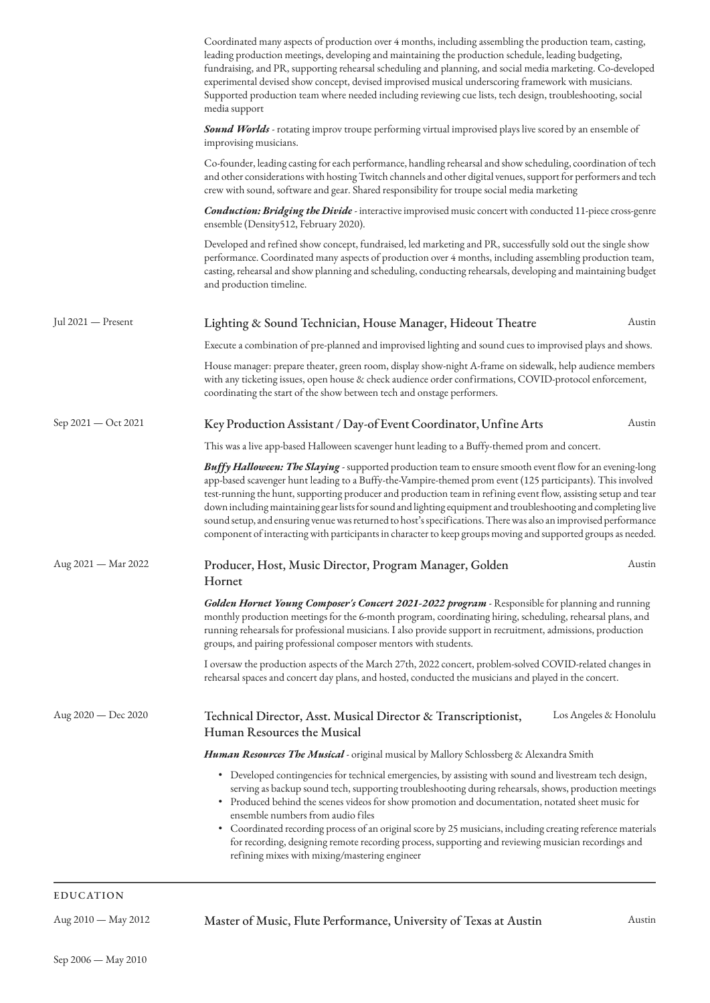|                     | Coordinated many aspects of production over 4 months, including assembling the production team, casting,<br>leading production meetings, developing and maintaining the production schedule, leading budgeting,<br>fundraising, and PR, supporting rehearsal scheduling and planning, and social media marketing. Co-developed<br>experimental devised show concept, devised improvised musical underscoring framework with musicians.<br>Supported production team where needed including reviewing cue lists, tech design, troubleshooting, social<br>media support                                                                                                                            |        |
|---------------------|--------------------------------------------------------------------------------------------------------------------------------------------------------------------------------------------------------------------------------------------------------------------------------------------------------------------------------------------------------------------------------------------------------------------------------------------------------------------------------------------------------------------------------------------------------------------------------------------------------------------------------------------------------------------------------------------------|--------|
|                     | Sound Worlds - rotating improv troupe performing virtual improvised plays live scored by an ensemble of<br>improvising musicians.                                                                                                                                                                                                                                                                                                                                                                                                                                                                                                                                                                |        |
|                     | Co-founder, leading casting for each performance, handling rehearsal and show scheduling, coordination of tech<br>and other considerations with hosting Twitch channels and other digital venues, support for performers and tech<br>crew with sound, software and gear. Shared responsibility for troupe social media marketing                                                                                                                                                                                                                                                                                                                                                                 |        |
|                     | <b>Conduction: Bridging the Divide</b> - interactive improvised music concert with conducted 11-piece cross-genre<br>ensemble (Density512, February 2020).                                                                                                                                                                                                                                                                                                                                                                                                                                                                                                                                       |        |
|                     | Developed and refined show concept, fundraised, led marketing and PR, successfully sold out the single show<br>performance. Coordinated many aspects of production over 4 months, including assembling production team,<br>casting, rehearsal and show planning and scheduling, conducting rehearsals, developing and maintaining budget<br>and production timeline.                                                                                                                                                                                                                                                                                                                             |        |
| Jul 2021 — Present  | Lighting & Sound Technician, House Manager, Hideout Theatre                                                                                                                                                                                                                                                                                                                                                                                                                                                                                                                                                                                                                                      | Austin |
|                     | Execute a combination of pre-planned and improvised lighting and sound cues to improvised plays and shows.                                                                                                                                                                                                                                                                                                                                                                                                                                                                                                                                                                                       |        |
|                     | House manager: prepare theater, green room, display show-night A-frame on sidewalk, help audience members<br>with any ticketing issues, open house & check audience order confirmations, COVID-protocol enforcement,<br>coordinating the start of the show between tech and onstage performers.                                                                                                                                                                                                                                                                                                                                                                                                  |        |
| Sep 2021 — Oct 2021 | Key Production Assistant / Day-of Event Coordinator, Unfine Arts                                                                                                                                                                                                                                                                                                                                                                                                                                                                                                                                                                                                                                 | Austin |
|                     | This was a live app-based Halloween scavenger hunt leading to a Buffy-themed prom and concert.                                                                                                                                                                                                                                                                                                                                                                                                                                                                                                                                                                                                   |        |
|                     | Buffy Halloween: The Slaying - supported production team to ensure smooth event flow for an evening-long<br>app-based scavenger hunt leading to a Buffy-the-Vampire-themed prom event (125 participants). This involved<br>test-running the hunt, supporting producer and production team in refining event flow, assisting setup and tear<br>down including maintaining gear lists for sound and lighting equipment and troubleshooting and completing live<br>sound setup, and ensuring venue was returned to host's specifications. There was also an improvised performance<br>component of interacting with participants in character to keep groups moving and supported groups as needed. |        |
| Aug 2021 - Mar 2022 | Producer, Host, Music Director, Program Manager, Golden<br>Hornet                                                                                                                                                                                                                                                                                                                                                                                                                                                                                                                                                                                                                                | Austin |
|                     | Golden Hornet Young Composer's Concert 2021-2022 program - Responsible for planning and running<br>monthly production meetings for the 6-month program, coordinating hiring, scheduling, rehearsal plans, and<br>running rehearsals for professional musicians. I also provide support in recruitment, admissions, production<br>groups, and pairing professional composer mentors with students.                                                                                                                                                                                                                                                                                                |        |
|                     | I oversaw the production aspects of the March 27th, 2022 concert, problem-solved COVID-related changes in<br>rehearsal spaces and concert day plans, and hosted, conducted the musicians and played in the concert.                                                                                                                                                                                                                                                                                                                                                                                                                                                                              |        |
| Aug 2020 — Dec 2020 | Los Angeles & Honolulu<br>Technical Director, Asst. Musical Director & Transcriptionist,<br>Human Resources the Musical                                                                                                                                                                                                                                                                                                                                                                                                                                                                                                                                                                          |        |
|                     | <i>Human Resources The Musical</i> - original musical by Mallory Schlossberg & Alexandra Smith                                                                                                                                                                                                                                                                                                                                                                                                                                                                                                                                                                                                   |        |
|                     | • Developed contingencies for technical emergencies, by assisting with sound and livestream tech design,<br>serving as backup sound tech, supporting troubleshooting during rehearsals, shows, production meetings<br>• Produced behind the scenes videos for show promotion and documentation, notated sheet music for<br>ensemble numbers from audio files<br>• Coordinated recording process of an original score by 25 musicians, including creating reference materials<br>for recording, designing remote recording process, supporting and reviewing musician recordings and<br>refining mixes with mixing/mastering engineer                                                             |        |
| EDHCATION           |                                                                                                                                                                                                                                                                                                                                                                                                                                                                                                                                                                                                                                                                                                  |        |

Aug 2010 — May 2012 Master of Music, Flute Performance, University of Texas at Austin Austin